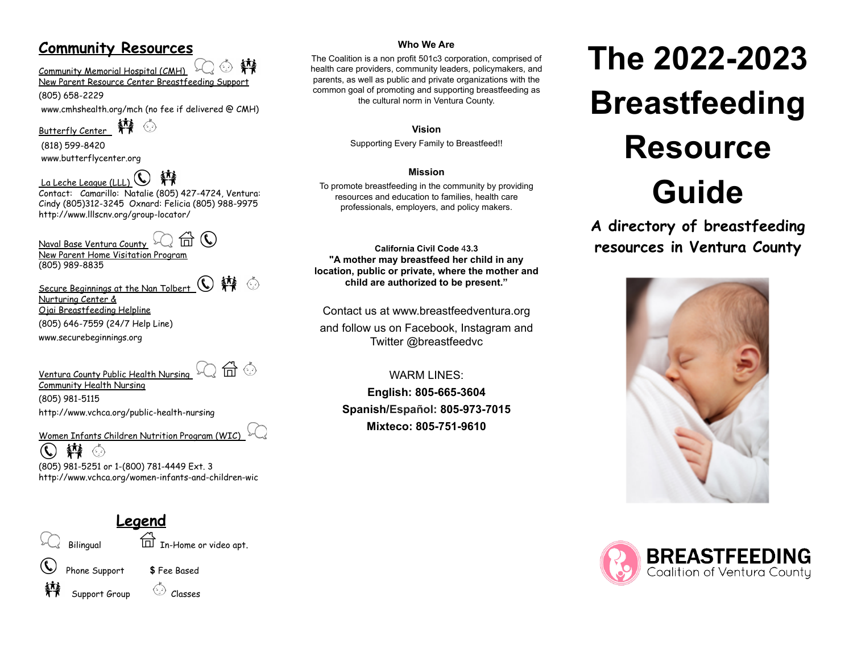# **Community Resources**

斡  $\langle \cdot \rangle$ Community Memorial Hospital (CMH)

New Parent Resource Center Breastfeeding Support

(805) 658-2229

[www.cmhshealth.org/mch](http://www.cmhshealth.org/mch) (no fee if delivered @ CMH)

 $\blacksquare$ Butterfly Center

(818) [599-8420](tel:%28818%29%20599-8420) [www.butterflycenter.org](http://www.butterflycenter.org/)

La Leche League (LLL) Contact: Camarillo: Natalie (805) 427-4724, Ventura: Cindy (805)312-3245 Oxnard: Felicia (805) 988-9975 http://www.lllscnv.org/group-locator/

 $\mathcal{L}$ त्ति Naval Base Ventura County New Parent Home Visitation Program (805) 989-8835

Secure Beginnings at the Nan Tolbert  $\mathbb{C}$   $\mathbb{N}$   $\circ$ Nurturing Center &

Ojai Breastfeeding Helpline (805) 646-7559 (24/7 Help Line)

[www.](http://www.birthresource.org)securebeginnings.org

Ventura County Public Health Nursing  $\mathbb{Q}$  a  $\mathbb{G}$ 



Community Health Nursing (805) 981-5115 <http://www.vchca.org/public-health-nursing>

Women Infants Children Nutrition Program (WIC)

韓 ⑥  $\mathbf{C}$ (805) 981-5251 or 1-(800) 781-4449 Ext. 3 <http://www.vchca.org/women-infants-and-children-wic>

**Legend**

Bilingual  $\overleftrightarrow{\Box}$  In-Home or video apt.

Phone Support **\$** Fee Based



Support Group Consses

### **Who We Are**

The Coalition is a non profit 501c3 corporation, comprised of health care providers, community leaders, policymakers, and parents, as well as public and private organizations with the common goal of promoting and supporting breastfeeding as the cultural norm in Ventura County.

**Vision**

Supporting Every Family to Breastfeed!!

### **Mission**

To promote breastfeeding in the community by providing resources and education to families, health care professionals, employers, and policy makers.

**California Civil Code** 4**3.3 "A mother may breastfeed her child in any location, public or private, where the mother and child are authorized to be present."**

Contact us at www.breastfeedventura.org

and follow us on Facebook, Instagram and Twitter @breastfeedvc

WARM LINES: **English: 805-665-3604 Spanish/Español: 805-973-7015 Mixteco: 805-751-9610**

# **The 2022-2023 Breastfeeding Resource Guide**

**A directory of breastfeeding resources in Ventura County**